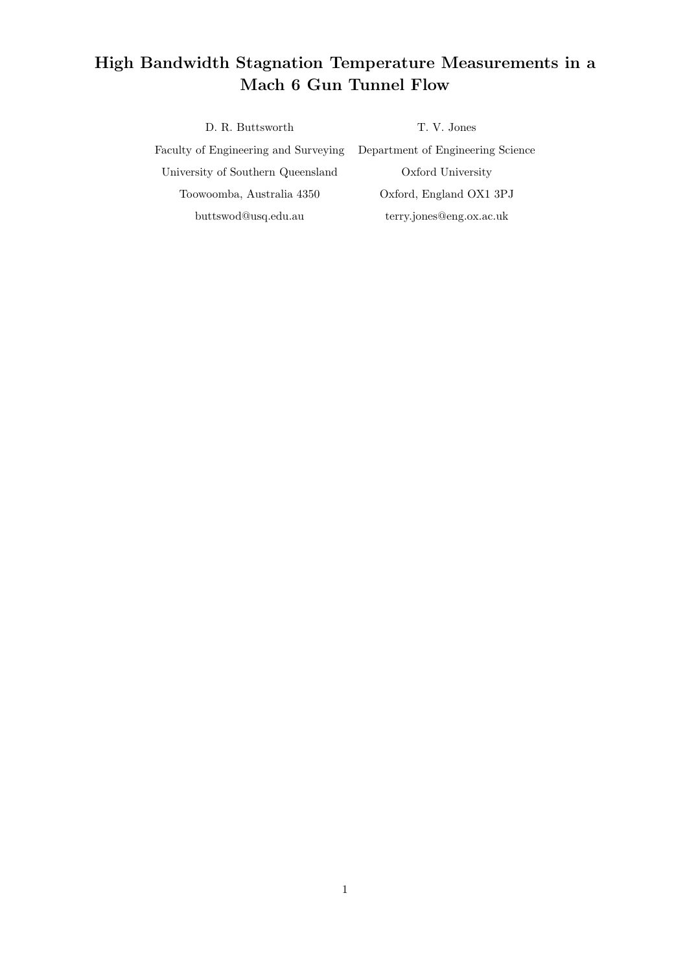## High Bandwidth Stagnation Temperature Measurements in a Mach 6 Gun Tunnel Flow

D. R. Buttsworth T. V. Jones Faculty of Engineering and Surveying Department of Engineering Science University of Southern Queensland Oxford University Toowoomba, Australia 4350 Oxford, England OX1 3PJ buttswod@usq.edu.au terry.jones@eng.ox.ac.uk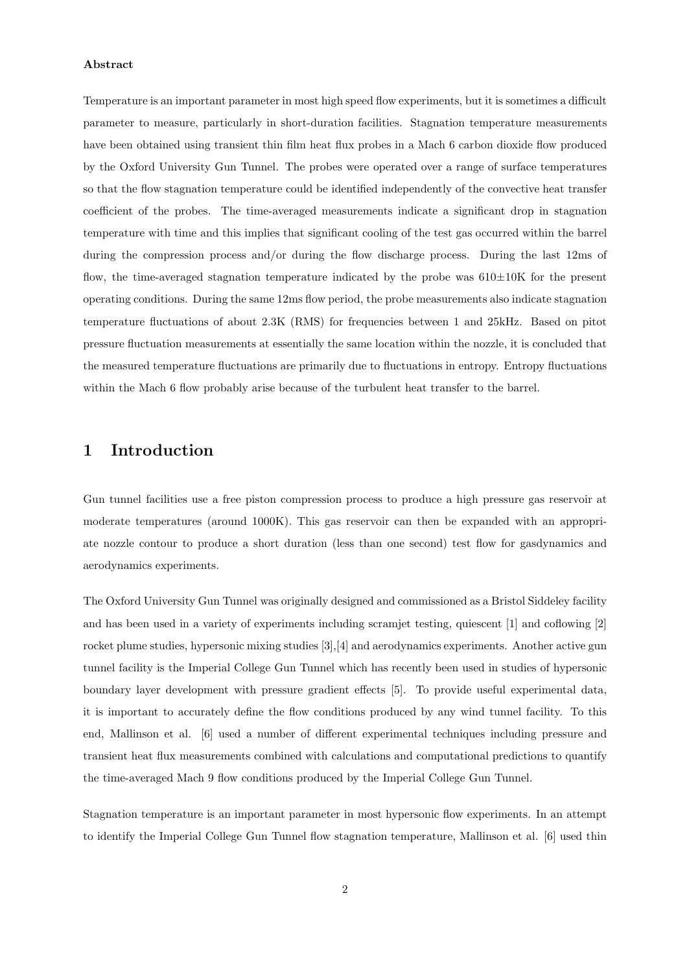#### Abstract

Temperature is an important parameter in most high speed flow experiments, but it is sometimes a difficult parameter to measure, particularly in short-duration facilities. Stagnation temperature measurements have been obtained using transient thin film heat flux probes in a Mach 6 carbon dioxide flow produced by the Oxford University Gun Tunnel. The probes were operated over a range of surface temperatures so that the flow stagnation temperature could be identified independently of the convective heat transfer coefficient of the probes. The time-averaged measurements indicate a significant drop in stagnation temperature with time and this implies that significant cooling of the test gas occurred within the barrel during the compression process and/or during the flow discharge process. During the last 12ms of flow, the time-averaged stagnation temperature indicated by the probe was  $610\pm10$ K for the present operating conditions. During the same 12ms flow period, the probe measurements also indicate stagnation temperature fluctuations of about 2.3K (RMS) for frequencies between 1 and 25kHz. Based on pitot pressure fluctuation measurements at essentially the same location within the nozzle, it is concluded that the measured temperature fluctuations are primarily due to fluctuations in entropy. Entropy fluctuations within the Mach 6 flow probably arise because of the turbulent heat transfer to the barrel.

## 1 Introduction

Gun tunnel facilities use a free piston compression process to produce a high pressure gas reservoir at moderate temperatures (around 1000K). This gas reservoir can then be expanded with an appropriate nozzle contour to produce a short duration (less than one second) test flow for gasdynamics and aerodynamics experiments.

The Oxford University Gun Tunnel was originally designed and commissioned as a Bristol Siddeley facility and has been used in a variety of experiments including scramjet testing, quiescent [1] and coflowing [2] rocket plume studies, hypersonic mixing studies [3],[4] and aerodynamics experiments. Another active gun tunnel facility is the Imperial College Gun Tunnel which has recently been used in studies of hypersonic boundary layer development with pressure gradient effects [5]. To provide useful experimental data, it is important to accurately define the flow conditions produced by any wind tunnel facility. To this end, Mallinson et al. [6] used a number of different experimental techniques including pressure and transient heat flux measurements combined with calculations and computational predictions to quantify the time-averaged Mach 9 flow conditions produced by the Imperial College Gun Tunnel.

Stagnation temperature is an important parameter in most hypersonic flow experiments. In an attempt to identify the Imperial College Gun Tunnel flow stagnation temperature, Mallinson et al. [6] used thin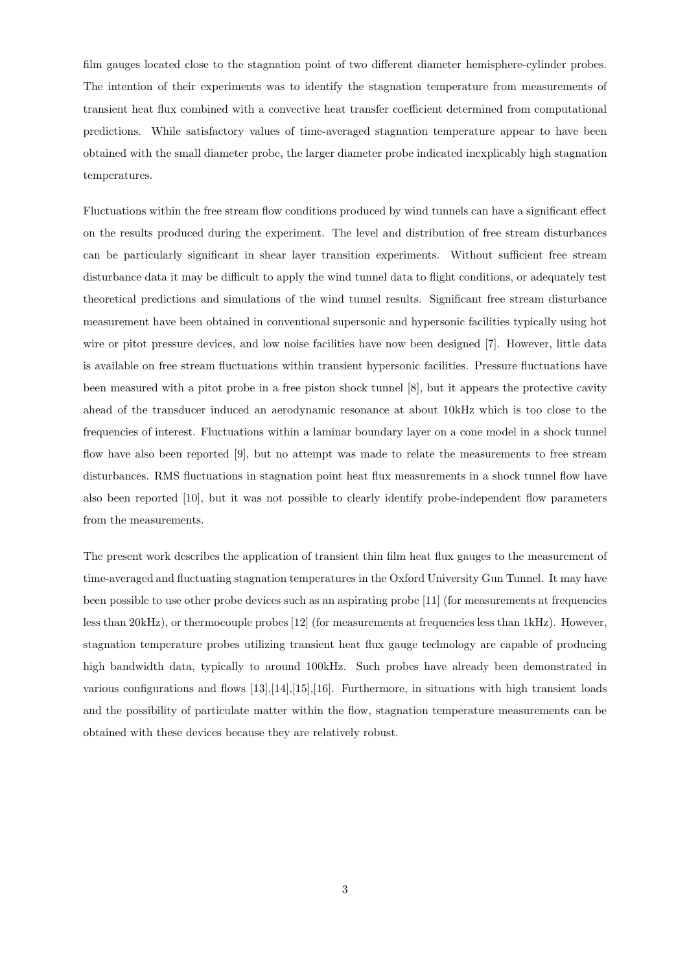film gauges located close to the stagnation point of two different diameter hemisphere-cylinder probes. The intention of their experiments was to identify the stagnation temperature from measurements of transient heat flux combined with a convective heat transfer coefficient determined from computational predictions. While satisfactory values of time-averaged stagnation temperature appear to have been obtained with the small diameter probe, the larger diameter probe indicated inexplicably high stagnation temperatures.

Fluctuations within the free stream flow conditions produced by wind tunnels can have a significant effect on the results produced during the experiment. The level and distribution of free stream disturbances can be particularly significant in shear layer transition experiments. Without sufficient free stream disturbance data it may be difficult to apply the wind tunnel data to flight conditions, or adequately test theoretical predictions and simulations of the wind tunnel results. Significant free stream disturbance measurement have been obtained in conventional supersonic and hypersonic facilities typically using hot wire or pitot pressure devices, and low noise facilities have now been designed [7]. However, little data is available on free stream fluctuations within transient hypersonic facilities. Pressure fluctuations have been measured with a pitot probe in a free piston shock tunnel [8], but it appears the protective cavity ahead of the transducer induced an aerodynamic resonance at about 10kHz which is too close to the frequencies of interest. Fluctuations within a laminar boundary layer on a cone model in a shock tunnel flow have also been reported [9], but no attempt was made to relate the measurements to free stream disturbances. RMS fluctuations in stagnation point heat flux measurements in a shock tunnel flow have also been reported [10], but it was not possible to clearly identify probe-independent flow parameters from the measurements.

The present work describes the application of transient thin film heat flux gauges to the measurement of time-averaged and fluctuating stagnation temperatures in the Oxford University Gun Tunnel. It may have been possible to use other probe devices such as an aspirating probe [11] (for measurements at frequencies less than 20kHz), or thermocouple probes [12] (for measurements at frequencies less than 1kHz). However, stagnation temperature probes utilizing transient heat flux gauge technology are capable of producing high bandwidth data, typically to around 100kHz. Such probes have already been demonstrated in various configurations and flows [13],[14],[15],[16]. Furthermore, in situations with high transient loads and the possibility of particulate matter within the flow, stagnation temperature measurements can be obtained with these devices because they are relatively robust.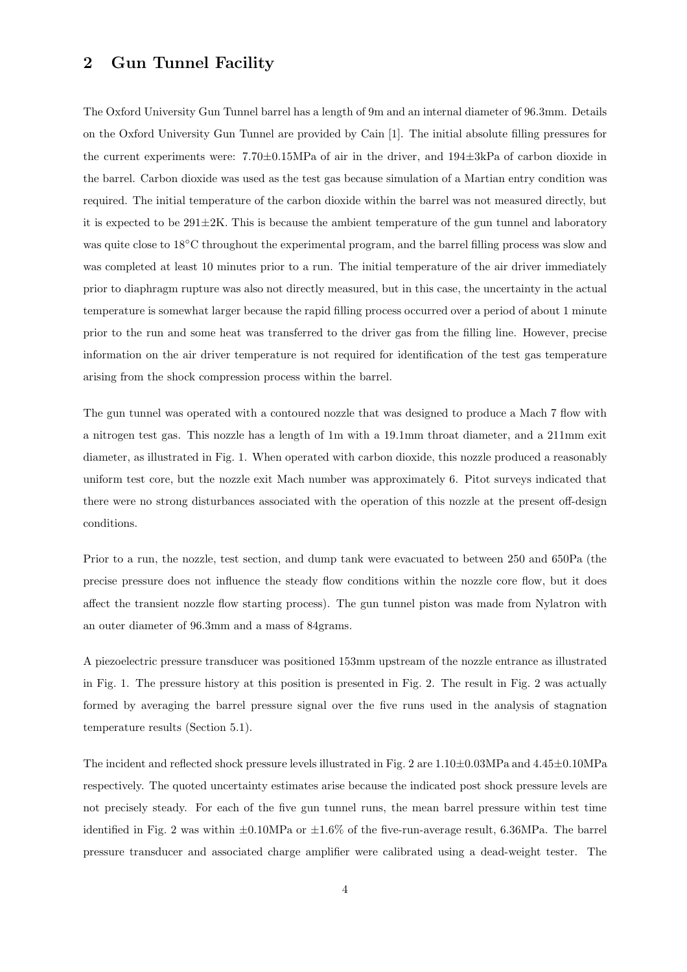## 2 Gun Tunnel Facility

The Oxford University Gun Tunnel barrel has a length of 9m and an internal diameter of 96.3mm. Details on the Oxford University Gun Tunnel are provided by Cain [1]. The initial absolute filling pressures for the current experiments were: 7.70±0.15MPa of air in the driver, and 194±3kPa of carbon dioxide in the barrel. Carbon dioxide was used as the test gas because simulation of a Martian entry condition was required. The initial temperature of the carbon dioxide within the barrel was not measured directly, but it is expected to be  $291\pm2K$ . This is because the ambient temperature of the gun tunnel and laboratory was quite close to 18◦C throughout the experimental program, and the barrel filling process was slow and was completed at least 10 minutes prior to a run. The initial temperature of the air driver immediately prior to diaphragm rupture was also not directly measured, but in this case, the uncertainty in the actual temperature is somewhat larger because the rapid filling process occurred over a period of about 1 minute prior to the run and some heat was transferred to the driver gas from the filling line. However, precise information on the air driver temperature is not required for identification of the test gas temperature arising from the shock compression process within the barrel.

The gun tunnel was operated with a contoured nozzle that was designed to produce a Mach 7 flow with a nitrogen test gas. This nozzle has a length of 1m with a 19.1mm throat diameter, and a 211mm exit diameter, as illustrated in Fig. 1. When operated with carbon dioxide, this nozzle produced a reasonably uniform test core, but the nozzle exit Mach number was approximately 6. Pitot surveys indicated that there were no strong disturbances associated with the operation of this nozzle at the present off-design conditions.

Prior to a run, the nozzle, test section, and dump tank were evacuated to between 250 and 650Pa (the precise pressure does not influence the steady flow conditions within the nozzle core flow, but it does affect the transient nozzle flow starting process). The gun tunnel piston was made from Nylatron with an outer diameter of 96.3mm and a mass of 84grams.

A piezoelectric pressure transducer was positioned 153mm upstream of the nozzle entrance as illustrated in Fig. 1. The pressure history at this position is presented in Fig. 2. The result in Fig. 2 was actually formed by averaging the barrel pressure signal over the five runs used in the analysis of stagnation temperature results (Section 5.1).

The incident and reflected shock pressure levels illustrated in Fig. 2 are  $1.10\pm0.03$  MPa and  $4.45\pm0.10$  MPa respectively. The quoted uncertainty estimates arise because the indicated post shock pressure levels are not precisely steady. For each of the five gun tunnel runs, the mean barrel pressure within test time identified in Fig. 2 was within  $\pm 0.10 \text{MPa}$  or  $\pm 1.6\%$  of the five-run-average result, 6.36MPa. The barrel pressure transducer and associated charge amplifier were calibrated using a dead-weight tester. The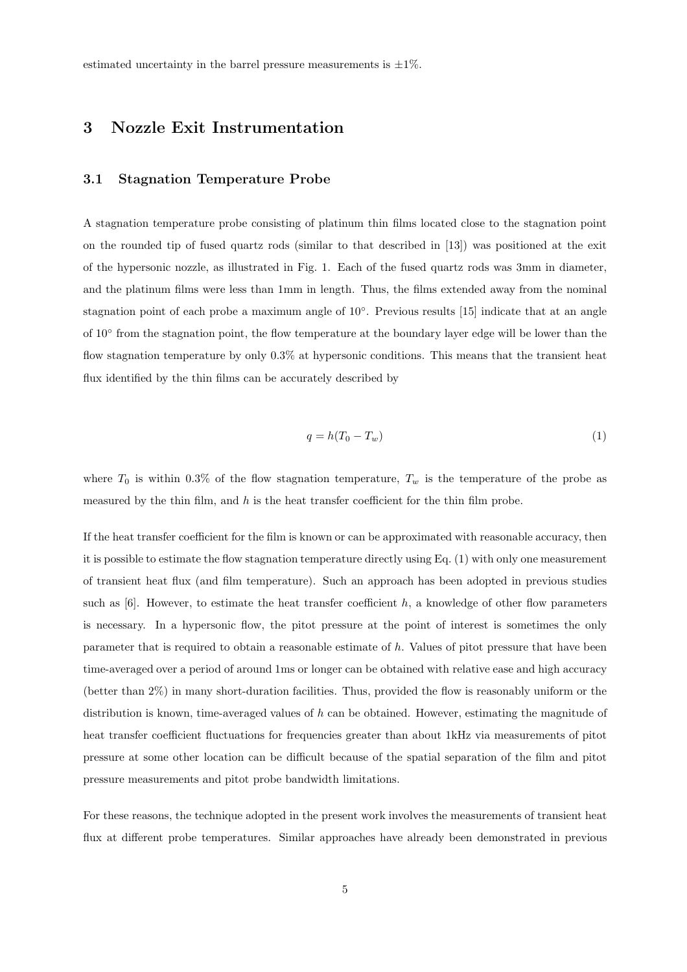estimated uncertainty in the barrel pressure measurements is  $\pm 1\%$ .

## 3 Nozzle Exit Instrumentation

#### 3.1 Stagnation Temperature Probe

A stagnation temperature probe consisting of platinum thin films located close to the stagnation point on the rounded tip of fused quartz rods (similar to that described in [13]) was positioned at the exit of the hypersonic nozzle, as illustrated in Fig. 1. Each of the fused quartz rods was 3mm in diameter, and the platinum films were less than 1mm in length. Thus, the films extended away from the nominal stagnation point of each probe a maximum angle of 10°. Previous results [15] indicate that at an angle of 10<sup>°</sup> from the stagnation point, the flow temperature at the boundary layer edge will be lower than the flow stagnation temperature by only 0.3% at hypersonic conditions. This means that the transient heat flux identified by the thin films can be accurately described by

$$
q = h(T_0 - T_w) \tag{1}
$$

where  $T_0$  is within 0.3% of the flow stagnation temperature,  $T_w$  is the temperature of the probe as measured by the thin film, and  $h$  is the heat transfer coefficient for the thin film probe.

If the heat transfer coefficient for the film is known or can be approximated with reasonable accuracy, then it is possible to estimate the flow stagnation temperature directly using Eq. (1) with only one measurement of transient heat flux (and film temperature). Such an approach has been adopted in previous studies such as  $[6]$ . However, to estimate the heat transfer coefficient h, a knowledge of other flow parameters is necessary. In a hypersonic flow, the pitot pressure at the point of interest is sometimes the only parameter that is required to obtain a reasonable estimate of h. Values of pitot pressure that have been time-averaged over a period of around 1ms or longer can be obtained with relative ease and high accuracy (better than 2%) in many short-duration facilities. Thus, provided the flow is reasonably uniform or the distribution is known, time-averaged values of  $h$  can be obtained. However, estimating the magnitude of heat transfer coefficient fluctuations for frequencies greater than about 1kHz via measurements of pitot pressure at some other location can be difficult because of the spatial separation of the film and pitot pressure measurements and pitot probe bandwidth limitations.

For these reasons, the technique adopted in the present work involves the measurements of transient heat flux at different probe temperatures. Similar approaches have already been demonstrated in previous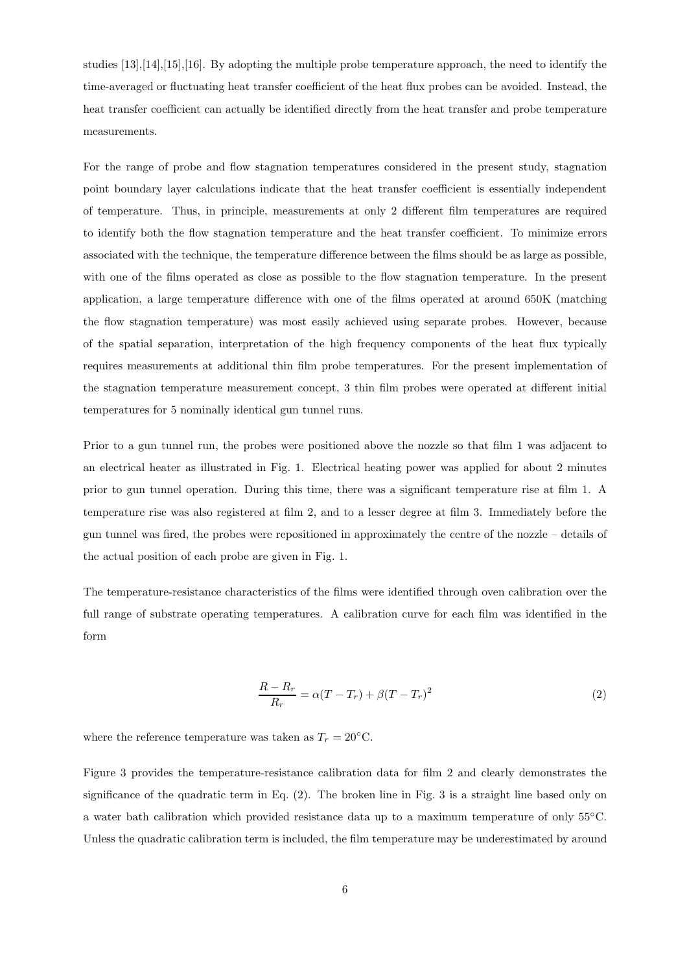studies [13],[14],[15],[16]. By adopting the multiple probe temperature approach, the need to identify the time-averaged or fluctuating heat transfer coefficient of the heat flux probes can be avoided. Instead, the heat transfer coefficient can actually be identified directly from the heat transfer and probe temperature measurements.

For the range of probe and flow stagnation temperatures considered in the present study, stagnation point boundary layer calculations indicate that the heat transfer coefficient is essentially independent of temperature. Thus, in principle, measurements at only 2 different film temperatures are required to identify both the flow stagnation temperature and the heat transfer coefficient. To minimize errors associated with the technique, the temperature difference between the films should be as large as possible, with one of the films operated as close as possible to the flow stagnation temperature. In the present application, a large temperature difference with one of the films operated at around 650K (matching the flow stagnation temperature) was most easily achieved using separate probes. However, because of the spatial separation, interpretation of the high frequency components of the heat flux typically requires measurements at additional thin film probe temperatures. For the present implementation of the stagnation temperature measurement concept, 3 thin film probes were operated at different initial temperatures for 5 nominally identical gun tunnel runs.

Prior to a gun tunnel run, the probes were positioned above the nozzle so that film 1 was adjacent to an electrical heater as illustrated in Fig. 1. Electrical heating power was applied for about 2 minutes prior to gun tunnel operation. During this time, there was a significant temperature rise at film 1. A temperature rise was also registered at film 2, and to a lesser degree at film 3. Immediately before the gun tunnel was fired, the probes were repositioned in approximately the centre of the nozzle – details of the actual position of each probe are given in Fig. 1.

The temperature-resistance characteristics of the films were identified through oven calibration over the full range of substrate operating temperatures. A calibration curve for each film was identified in the form

$$
\frac{R - R_r}{R_r} = \alpha (T - T_r) + \beta (T - T_r)^2
$$
\n(2)

where the reference temperature was taken as  $T_r = 20^{\circ}$ C.

Figure 3 provides the temperature-resistance calibration data for film 2 and clearly demonstrates the significance of the quadratic term in Eq. (2). The broken line in Fig. 3 is a straight line based only on a water bath calibration which provided resistance data up to a maximum temperature of only 55◦C. Unless the quadratic calibration term is included, the film temperature may be underestimated by around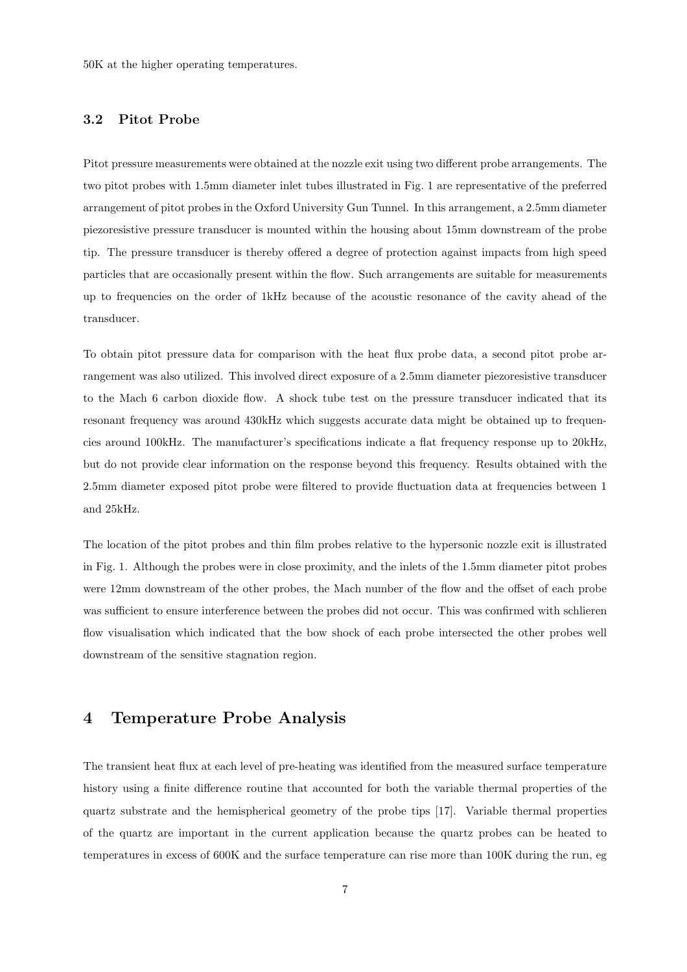50K at the higher operating temperatures.

#### 3.2 Pitot Probe

Pitot pressure measurements were obtained at the nozzle exit using two different probe arrangements. The two pitot probes with 1.5mm diameter inlet tubes illustrated in Fig. 1 are representative of the preferred arrangement of pitot probes in the Oxford University Gun Tunnel. In this arrangement, a 2.5mm diameter piezoresistive pressure transducer is mounted within the housing about 15mm downstream of the probe tip. The pressure transducer is thereby offered a degree of protection against impacts from high speed particles that are occasionally present within the flow. Such arrangements are suitable for measurements up to frequencies on the order of 1kHz because of the acoustic resonance of the cavity ahead of the transducer.

To obtain pitot pressure data for comparison with the heat flux probe data, a second pitot probe arrangement was also utilized. This involved direct exposure of a 2.5mm diameter piezoresistive transducer to the Mach 6 carbon dioxide flow. A shock tube test on the pressure transducer indicated that its resonant frequency was around 430kHz which suggests accurate data might be obtained up to frequencies around 100kHz. The manufacturer's specifications indicate a flat frequency response up to 20kHz, but do not provide clear information on the response beyond this frequency. Results obtained with the 2.5mm diameter exposed pitot probe were filtered to provide fluctuation data at frequencies between 1 and 25kHz.

The location of the pitot probes and thin film probes relative to the hypersonic nozzle exit is illustrated in Fig. 1. Although the probes were in close proximity, and the inlets of the 1.5mm diameter pitot probes were 12mm downstream of the other probes, the Mach number of the flow and the offset of each probe was sufficient to ensure interference between the probes did not occur. This was confirmed with schlieren flow visualisation which indicated that the bow shock of each probe intersected the other probes well downstream of the sensitive stagnation region.

## 4 Temperature Probe Analysis

The transient heat flux at each level of pre-heating was identified from the measured surface temperature history using a finite difference routine that accounted for both the variable thermal properties of the quartz substrate and the hemispherical geometry of the probe tips [17]. Variable thermal properties of the quartz are important in the current application because the quartz probes can be heated to temperatures in excess of 600K and the surface temperature can rise more than 100K during the run, eg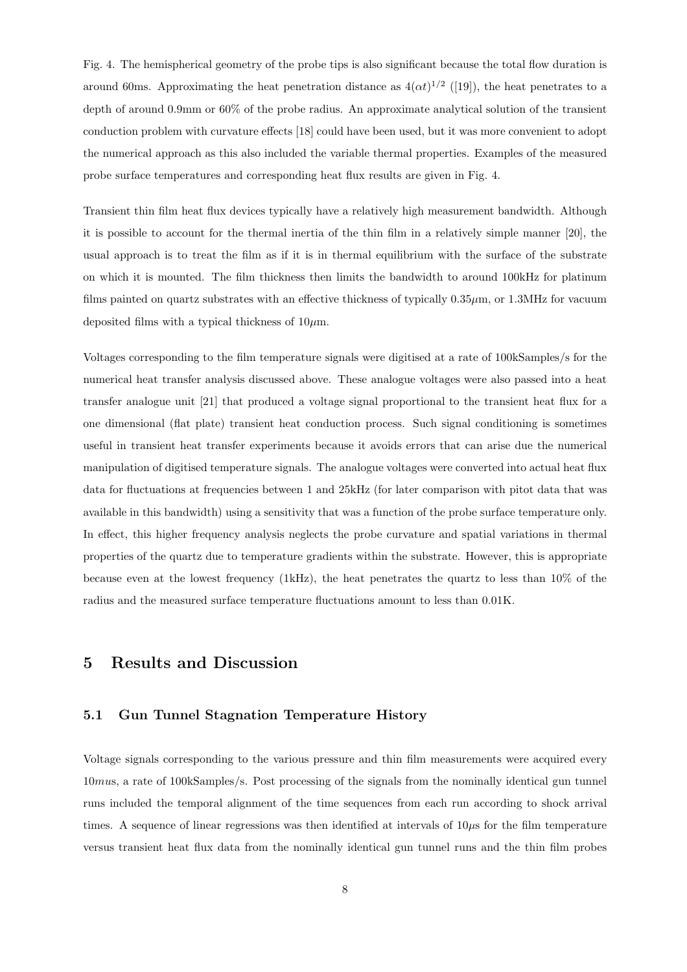Fig. 4. The hemispherical geometry of the probe tips is also significant because the total flow duration is around 60ms. Approximating the heat penetration distance as  $4(\alpha t)^{1/2}$  ([19]), the heat penetrates to a depth of around 0.9mm or 60% of the probe radius. An approximate analytical solution of the transient conduction problem with curvature effects [18] could have been used, but it was more convenient to adopt the numerical approach as this also included the variable thermal properties. Examples of the measured probe surface temperatures and corresponding heat flux results are given in Fig. 4.

Transient thin film heat flux devices typically have a relatively high measurement bandwidth. Although it is possible to account for the thermal inertia of the thin film in a relatively simple manner [20], the usual approach is to treat the film as if it is in thermal equilibrium with the surface of the substrate on which it is mounted. The film thickness then limits the bandwidth to around 100kHz for platinum films painted on quartz substrates with an effective thickness of typically 0.35µm, or 1.3MHz for vacuum deposited films with a typical thickness of  $10 \mu$ m.

Voltages corresponding to the film temperature signals were digitised at a rate of 100kSamples/s for the numerical heat transfer analysis discussed above. These analogue voltages were also passed into a heat transfer analogue unit [21] that produced a voltage signal proportional to the transient heat flux for a one dimensional (flat plate) transient heat conduction process. Such signal conditioning is sometimes useful in transient heat transfer experiments because it avoids errors that can arise due the numerical manipulation of digitised temperature signals. The analogue voltages were converted into actual heat flux data for fluctuations at frequencies between 1 and 25kHz (for later comparison with pitot data that was available in this bandwidth) using a sensitivity that was a function of the probe surface temperature only. In effect, this higher frequency analysis neglects the probe curvature and spatial variations in thermal properties of the quartz due to temperature gradients within the substrate. However, this is appropriate because even at the lowest frequency (1kHz), the heat penetrates the quartz to less than 10% of the radius and the measured surface temperature fluctuations amount to less than 0.01K.

## 5 Results and Discussion

#### 5.1 Gun Tunnel Stagnation Temperature History

Voltage signals corresponding to the various pressure and thin film measurements were acquired every 10mus, a rate of 100kSamples/s. Post processing of the signals from the nominally identical gun tunnel runs included the temporal alignment of the time sequences from each run according to shock arrival times. A sequence of linear regressions was then identified at intervals of  $10\mu s$  for the film temperature versus transient heat flux data from the nominally identical gun tunnel runs and the thin film probes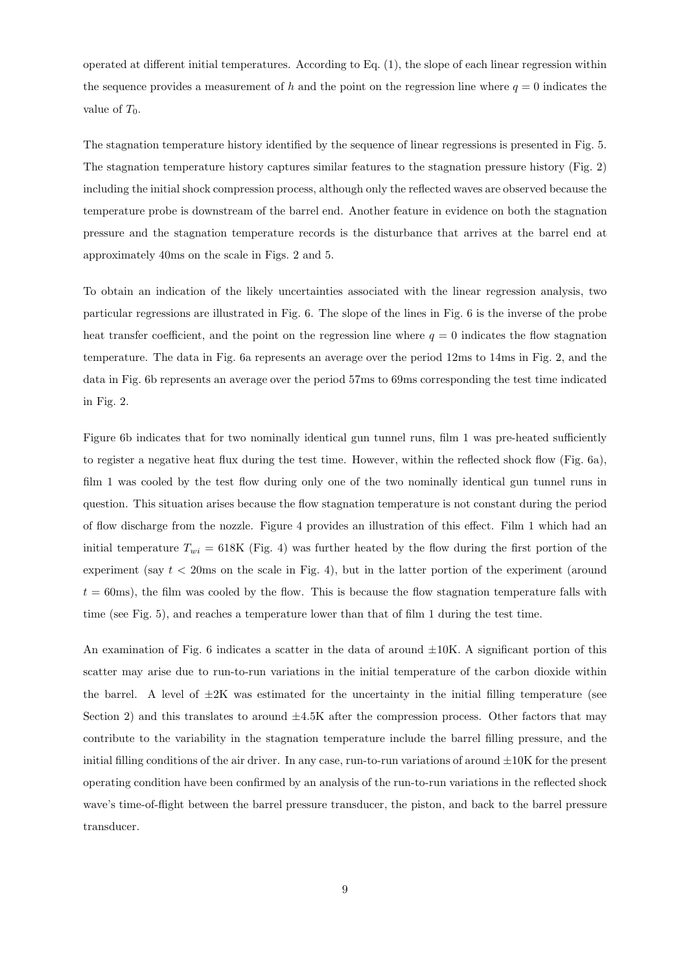operated at different initial temperatures. According to Eq. (1), the slope of each linear regression within the sequence provides a measurement of h and the point on the regression line where  $q = 0$  indicates the value of  $T_0$ .

The stagnation temperature history identified by the sequence of linear regressions is presented in Fig. 5. The stagnation temperature history captures similar features to the stagnation pressure history (Fig. 2) including the initial shock compression process, although only the reflected waves are observed because the temperature probe is downstream of the barrel end. Another feature in evidence on both the stagnation pressure and the stagnation temperature records is the disturbance that arrives at the barrel end at approximately 40ms on the scale in Figs. 2 and 5.

To obtain an indication of the likely uncertainties associated with the linear regression analysis, two particular regressions are illustrated in Fig. 6. The slope of the lines in Fig. 6 is the inverse of the probe heat transfer coefficient, and the point on the regression line where  $q = 0$  indicates the flow stagnation temperature. The data in Fig. 6a represents an average over the period 12ms to 14ms in Fig. 2, and the data in Fig. 6b represents an average over the period 57ms to 69ms corresponding the test time indicated in Fig. 2.

Figure 6b indicates that for two nominally identical gun tunnel runs, film 1 was pre-heated sufficiently to register a negative heat flux during the test time. However, within the reflected shock flow (Fig. 6a), film 1 was cooled by the test flow during only one of the two nominally identical gun tunnel runs in question. This situation arises because the flow stagnation temperature is not constant during the period of flow discharge from the nozzle. Figure 4 provides an illustration of this effect. Film 1 which had an initial temperature  $T_{wi} = 618$ K (Fig. 4) was further heated by the flow during the first portion of the experiment (say  $t < 20$ ms on the scale in Fig. 4), but in the latter portion of the experiment (around  $t = 60$ ms), the film was cooled by the flow. This is because the flow stagnation temperature falls with time (see Fig. 5), and reaches a temperature lower than that of film 1 during the test time.

An examination of Fig. 6 indicates a scatter in the data of around  $\pm 10$ K. A significant portion of this scatter may arise due to run-to-run variations in the initial temperature of the carbon dioxide within the barrel. A level of  $\pm 2K$  was estimated for the uncertainty in the initial filling temperature (see Section 2) and this translates to around  $\pm 4.5K$  after the compression process. Other factors that may contribute to the variability in the stagnation temperature include the barrel filling pressure, and the initial filling conditions of the air driver. In any case, run-to-run variations of around  $\pm 10K$  for the present operating condition have been confirmed by an analysis of the run-to-run variations in the reflected shock wave's time-of-flight between the barrel pressure transducer, the piston, and back to the barrel pressure transducer.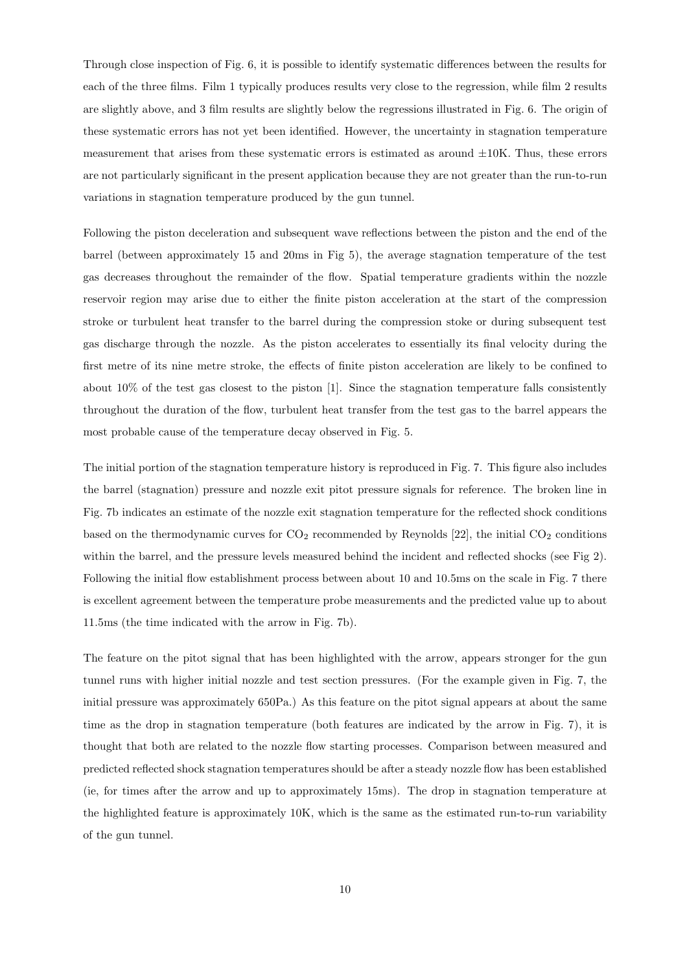Through close inspection of Fig. 6, it is possible to identify systematic differences between the results for each of the three films. Film 1 typically produces results very close to the regression, while film 2 results are slightly above, and 3 film results are slightly below the regressions illustrated in Fig. 6. The origin of these systematic errors has not yet been identified. However, the uncertainty in stagnation temperature measurement that arises from these systematic errors is estimated as around  $\pm 10$ K. Thus, these errors are not particularly significant in the present application because they are not greater than the run-to-run variations in stagnation temperature produced by the gun tunnel.

Following the piston deceleration and subsequent wave reflections between the piston and the end of the barrel (between approximately 15 and 20ms in Fig 5), the average stagnation temperature of the test gas decreases throughout the remainder of the flow. Spatial temperature gradients within the nozzle reservoir region may arise due to either the finite piston acceleration at the start of the compression stroke or turbulent heat transfer to the barrel during the compression stoke or during subsequent test gas discharge through the nozzle. As the piston accelerates to essentially its final velocity during the first metre of its nine metre stroke, the effects of finite piston acceleration are likely to be confined to about 10% of the test gas closest to the piston [1]. Since the stagnation temperature falls consistently throughout the duration of the flow, turbulent heat transfer from the test gas to the barrel appears the most probable cause of the temperature decay observed in Fig. 5.

The initial portion of the stagnation temperature history is reproduced in Fig. 7. This figure also includes the barrel (stagnation) pressure and nozzle exit pitot pressure signals for reference. The broken line in Fig. 7b indicates an estimate of the nozzle exit stagnation temperature for the reflected shock conditions based on the thermodynamic curves for  $CO<sub>2</sub>$  recommended by Reynolds [22], the initial  $CO<sub>2</sub>$  conditions within the barrel, and the pressure levels measured behind the incident and reflected shocks (see Fig 2). Following the initial flow establishment process between about 10 and 10.5ms on the scale in Fig. 7 there is excellent agreement between the temperature probe measurements and the predicted value up to about 11.5ms (the time indicated with the arrow in Fig. 7b).

The feature on the pitot signal that has been highlighted with the arrow, appears stronger for the gun tunnel runs with higher initial nozzle and test section pressures. (For the example given in Fig. 7, the initial pressure was approximately 650Pa.) As this feature on the pitot signal appears at about the same time as the drop in stagnation temperature (both features are indicated by the arrow in Fig. 7), it is thought that both are related to the nozzle flow starting processes. Comparison between measured and predicted reflected shock stagnation temperatures should be after a steady nozzle flow has been established (ie, for times after the arrow and up to approximately 15ms). The drop in stagnation temperature at the highlighted feature is approximately 10K, which is the same as the estimated run-to-run variability of the gun tunnel.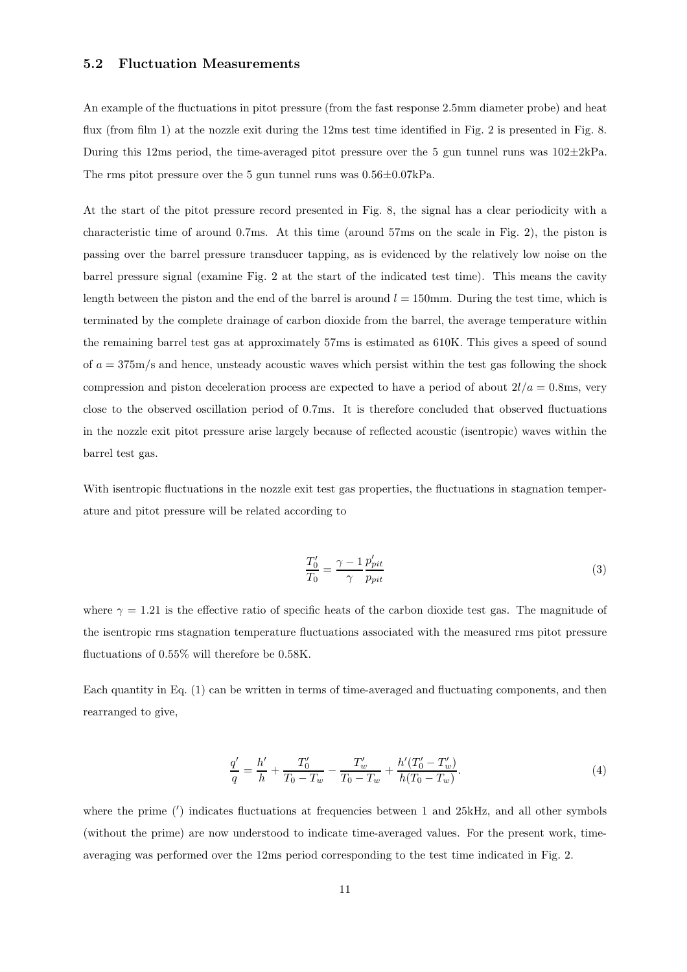#### 5.2 Fluctuation Measurements

An example of the fluctuations in pitot pressure (from the fast response 2.5mm diameter probe) and heat flux (from film 1) at the nozzle exit during the 12ms test time identified in Fig. 2 is presented in Fig. 8. During this 12ms period, the time-averaged pitot pressure over the 5 gun tunnel runs was  $102 \pm 2kPa$ . The rms pitot pressure over the 5 gun tunnel runs was 0.56±0.07kPa.

At the start of the pitot pressure record presented in Fig. 8, the signal has a clear periodicity with a characteristic time of around 0.7ms. At this time (around 57ms on the scale in Fig. 2), the piston is passing over the barrel pressure transducer tapping, as is evidenced by the relatively low noise on the barrel pressure signal (examine Fig. 2 at the start of the indicated test time). This means the cavity length between the piston and the end of the barrel is around  $l = 150$  mm. During the test time, which is terminated by the complete drainage of carbon dioxide from the barrel, the average temperature within the remaining barrel test gas at approximately 57ms is estimated as 610K. This gives a speed of sound of  $a = 375$ m/s and hence, unsteady acoustic waves which persist within the test gas following the shock compression and piston deceleration process are expected to have a period of about  $2l/a = 0.8$ ms, very close to the observed oscillation period of 0.7ms. It is therefore concluded that observed fluctuations in the nozzle exit pitot pressure arise largely because of reflected acoustic (isentropic) waves within the barrel test gas.

With isentropic fluctuations in the nozzle exit test gas properties, the fluctuations in stagnation temperature and pitot pressure will be related according to

$$
\frac{T_0'}{T_0} = \frac{\gamma - 1}{\gamma} \frac{p'_{pit}}{p_{pit}}\tag{3}
$$

where  $\gamma = 1.21$  is the effective ratio of specific heats of the carbon dioxide test gas. The magnitude of the isentropic rms stagnation temperature fluctuations associated with the measured rms pitot pressure fluctuations of 0.55% will therefore be 0.58K.

Each quantity in Eq. (1) can be written in terms of time-averaged and fluctuating components, and then rearranged to give,

$$
\frac{q'}{q} = \frac{h'}{h} + \frac{T'_0}{T_0 - T_w} - \frac{T'_w}{T_0 - T_w} + \frac{h'(T'_0 - T'_w)}{h(T_0 - T_w)}.
$$
\n(4)

where the prime (') indicates fluctuations at frequencies between 1 and 25kHz, and all other symbols (without the prime) are now understood to indicate time-averaged values. For the present work, timeaveraging was performed over the 12ms period corresponding to the test time indicated in Fig. 2.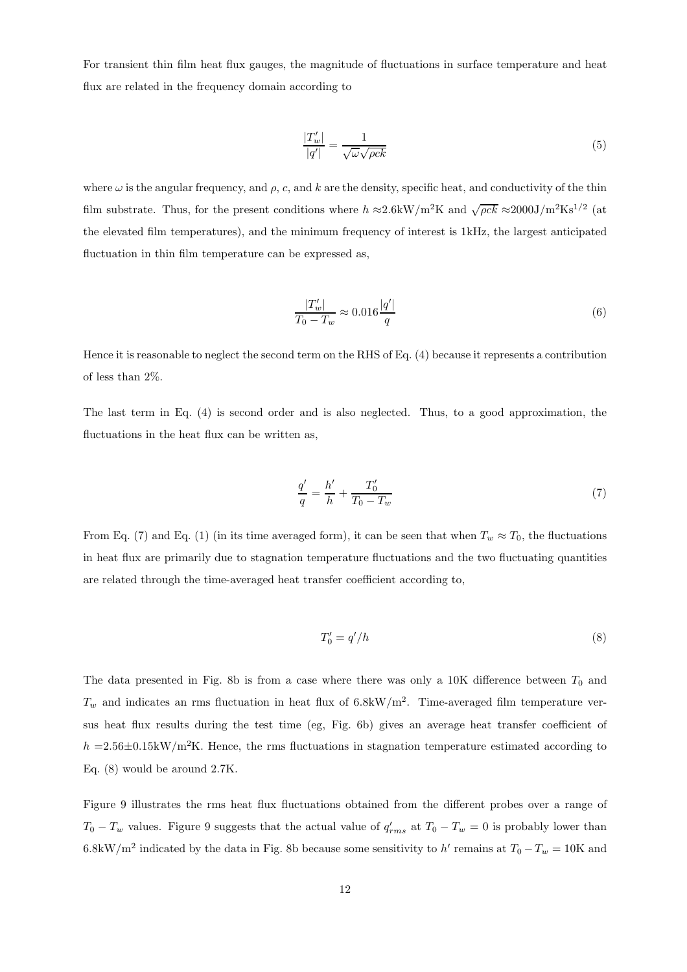For transient thin film heat flux gauges, the magnitude of fluctuations in surface temperature and heat flux are related in the frequency domain according to

$$
\frac{|T'_w|}{|q'|} = \frac{1}{\sqrt{\omega}\sqrt{\rho c k}}\tag{5}
$$

where  $\omega$  is the angular frequency, and  $\rho$ , c, and k are the density, specific heat, and conductivity of the thin film substrate. Thus, for the present conditions where  $h \approx 2.6 \text{kW/m}^2\text{K}$  and  $\sqrt{\rho c k} \approx 2000 \text{J/m}^2\text{Ks}^{1/2}$  (at the elevated film temperatures), and the minimum frequency of interest is 1kHz, the largest anticipated fluctuation in thin film temperature can be expressed as,

$$
\frac{|T_w'|}{T_0 - T_w} \approx 0.016 \frac{|q'|}{q}
$$
\n(6)

Hence it is reasonable to neglect the second term on the RHS of Eq. (4) because it represents a contribution of less than 2%.

The last term in Eq. (4) is second order and is also neglected. Thus, to a good approximation, the fluctuations in the heat flux can be written as,

$$
\frac{q'}{q} = \frac{h'}{h} + \frac{T'_0}{T_0 - T_w} \tag{7}
$$

From Eq. (7) and Eq. (1) (in its time averaged form), it can be seen that when  $T_w \approx T_0$ , the fluctuations in heat flux are primarily due to stagnation temperature fluctuations and the two fluctuating quantities are related through the time-averaged heat transfer coefficient according to,

$$
T_0' = q'/h \tag{8}
$$

The data presented in Fig. 8b is from a case where there was only a 10K difference between  $T_0$  and  $T_w$  and indicates an rms fluctuation in heat flux of 6.8kW/m<sup>2</sup>. Time-averaged film temperature versus heat flux results during the test time (eg, Fig. 6b) gives an average heat transfer coefficient of  $h = 2.56 \pm 0.15$ kW/m<sup>2</sup>K. Hence, the rms fluctuations in stagnation temperature estimated according to Eq. (8) would be around 2.7K.

Figure 9 illustrates the rms heat flux fluctuations obtained from the different probes over a range of  $T_0 - T_w$  values. Figure 9 suggests that the actual value of  $q'_{rms}$  at  $T_0 - T_w = 0$  is probably lower than 6.8kW/m<sup>2</sup> indicated by the data in Fig. 8b because some sensitivity to h' remains at  $T_0 - T_w = 10$ K and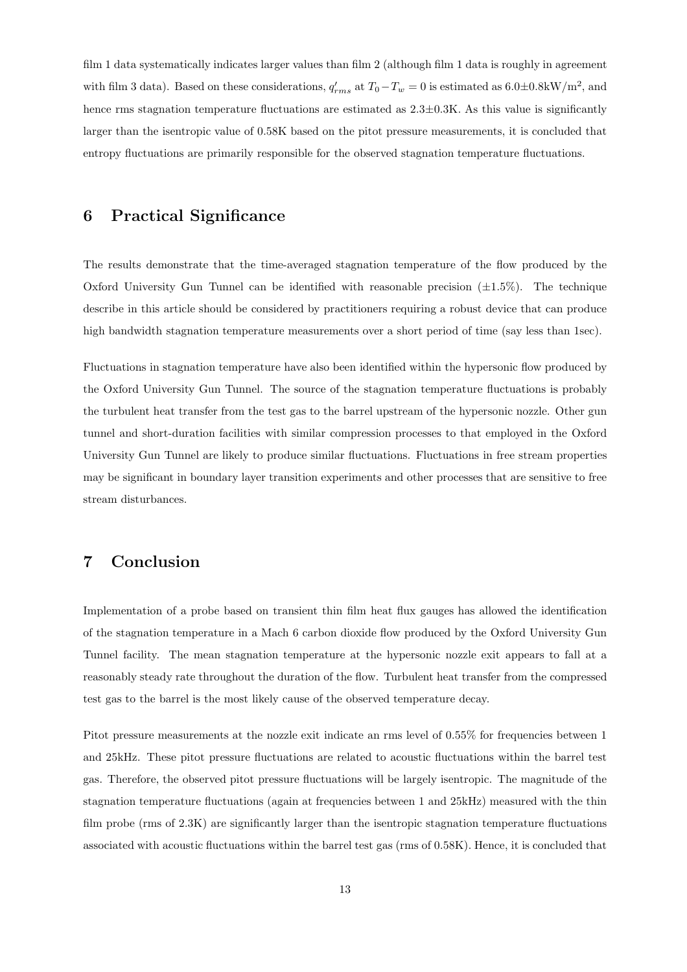film 1 data systematically indicates larger values than film 2 (although film 1 data is roughly in agreement with film 3 data). Based on these considerations,  $q'_{rms}$  at  $T_0-T_w=0$  is estimated as  $6.0\pm0.8$ kW/m<sup>2</sup>, and hence rms stagnation temperature fluctuations are estimated as  $2.3\pm0.3K$ . As this value is significantly larger than the isentropic value of 0.58K based on the pitot pressure measurements, it is concluded that entropy fluctuations are primarily responsible for the observed stagnation temperature fluctuations.

## 6 Practical Significance

The results demonstrate that the time-averaged stagnation temperature of the flow produced by the Oxford University Gun Tunnel can be identified with reasonable precision  $(\pm 1.5\%)$ . The technique describe in this article should be considered by practitioners requiring a robust device that can produce high bandwidth stagnation temperature measurements over a short period of time (say less than 1sec).

Fluctuations in stagnation temperature have also been identified within the hypersonic flow produced by the Oxford University Gun Tunnel. The source of the stagnation temperature fluctuations is probably the turbulent heat transfer from the test gas to the barrel upstream of the hypersonic nozzle. Other gun tunnel and short-duration facilities with similar compression processes to that employed in the Oxford University Gun Tunnel are likely to produce similar fluctuations. Fluctuations in free stream properties may be significant in boundary layer transition experiments and other processes that are sensitive to free stream disturbances.

## 7 Conclusion

Implementation of a probe based on transient thin film heat flux gauges has allowed the identification of the stagnation temperature in a Mach 6 carbon dioxide flow produced by the Oxford University Gun Tunnel facility. The mean stagnation temperature at the hypersonic nozzle exit appears to fall at a reasonably steady rate throughout the duration of the flow. Turbulent heat transfer from the compressed test gas to the barrel is the most likely cause of the observed temperature decay.

Pitot pressure measurements at the nozzle exit indicate an rms level of 0.55% for frequencies between 1 and 25kHz. These pitot pressure fluctuations are related to acoustic fluctuations within the barrel test gas. Therefore, the observed pitot pressure fluctuations will be largely isentropic. The magnitude of the stagnation temperature fluctuations (again at frequencies between 1 and 25kHz) measured with the thin film probe (rms of 2.3K) are significantly larger than the isentropic stagnation temperature fluctuations associated with acoustic fluctuations within the barrel test gas (rms of 0.58K). Hence, it is concluded that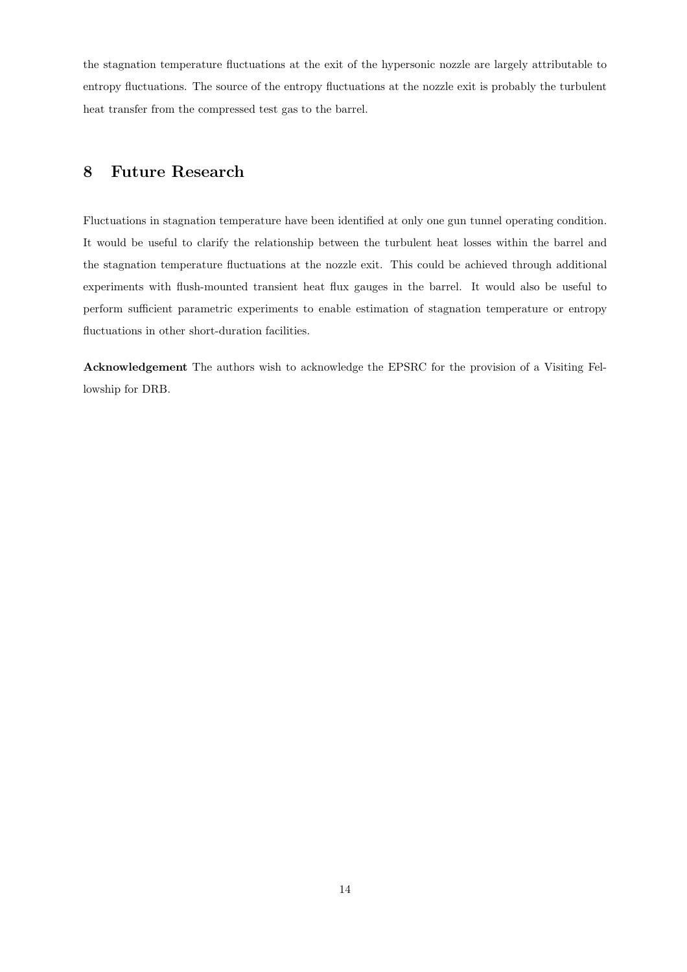the stagnation temperature fluctuations at the exit of the hypersonic nozzle are largely attributable to entropy fluctuations. The source of the entropy fluctuations at the nozzle exit is probably the turbulent heat transfer from the compressed test gas to the barrel.

## 8 Future Research

Fluctuations in stagnation temperature have been identified at only one gun tunnel operating condition. It would be useful to clarify the relationship between the turbulent heat losses within the barrel and the stagnation temperature fluctuations at the nozzle exit. This could be achieved through additional experiments with flush-mounted transient heat flux gauges in the barrel. It would also be useful to perform sufficient parametric experiments to enable estimation of stagnation temperature or entropy fluctuations in other short-duration facilities.

Acknowledgement The authors wish to acknowledge the EPSRC for the provision of a Visiting Fellowship for DRB.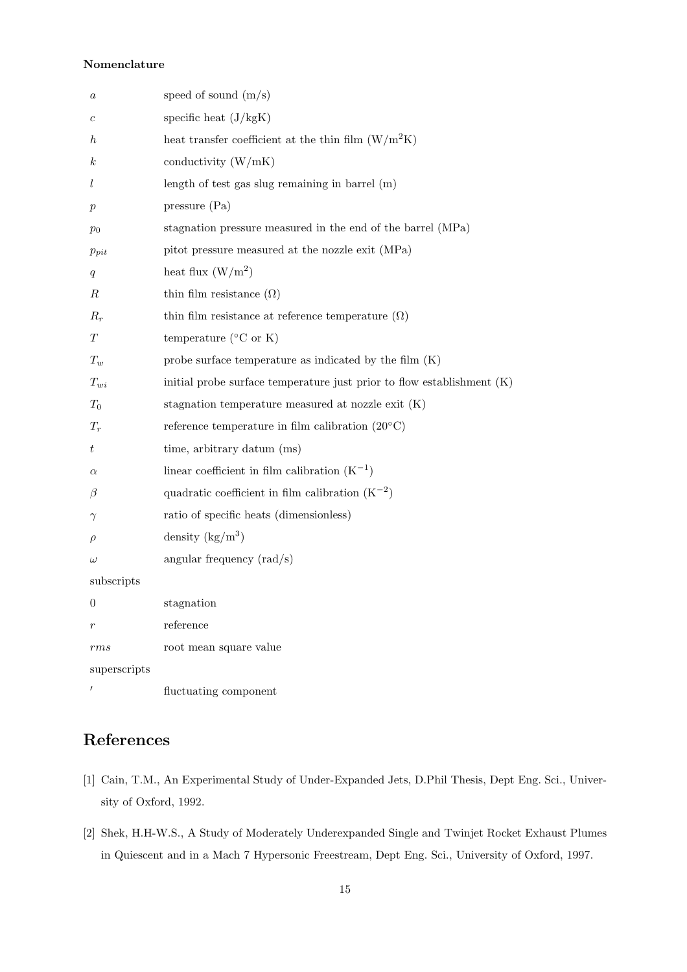#### Nomenclature

| $\it a$          | speed of sound $(m/s)$                                                   |
|------------------|--------------------------------------------------------------------------|
| $\boldsymbol{c}$ | specific heat $(J/kgK)$                                                  |
| $\hbar$          | heat transfer coefficient at the thin film $(W/m^2K)$                    |
| $\kappa$         | conductivity $(W/mK)$                                                    |
| l                | length of test gas slug remaining in barrel $(m)$                        |
| $\, p \,$        | pressure (Pa)                                                            |
| $p_0$            | stagnation pressure measured in the end of the barrel (MPa)              |
| $p_{pit}$        | pitot pressure measured at the nozzle exit (MPa)                         |
| q                | heat flux $(W/m^2)$                                                      |
| R                | thin film resistance $(\Omega)$                                          |
| $R_r$            | thin film resistance at reference temperature $(\Omega)$                 |
| $\scriptstyle T$ | temperature ( ${}^{\circ}$ C or K)                                       |
| $T_w$            | probe surface temperature as indicated by the film $(K)$                 |
| $T_{wi}$         | initial probe surface temperature just prior to flow establishment $(K)$ |
| $T_0$            | stagnation temperature measured at nozzle exit $(K)$                     |
| $T_r$            | reference temperature in film calibration $(20^{\circ}C)$                |
| t                | time, arbitrary datum (ms)                                               |
| $\alpha$         | linear coefficient in film calibration $(K^{-1})$                        |
| $\beta$          | quadratic coefficient in film calibration $(K^{-2})$                     |
| $\gamma$         | ratio of specific heats (dimensionless)                                  |
| $\rho$           | density $(kg/m^3)$                                                       |
| $\omega$         | angular frequency $\text{(rad/s)}$                                       |
| subscripts       |                                                                          |
| $\mathbf{0}$     | stagnation                                                               |
| $\boldsymbol{r}$ | reference                                                                |
| rms              | root mean square value                                                   |
| superscripts     |                                                                          |
|                  | fluctuating component                                                    |

## References

- [1] Cain, T.M., An Experimental Study of Under-Expanded Jets, D.Phil Thesis, Dept Eng. Sci., University of Oxford, 1992.
- [2] Shek, H.H-W.S., A Study of Moderately Underexpanded Single and Twinjet Rocket Exhaust Plumes in Quiescent and in a Mach 7 Hypersonic Freestream, Dept Eng. Sci., University of Oxford, 1997.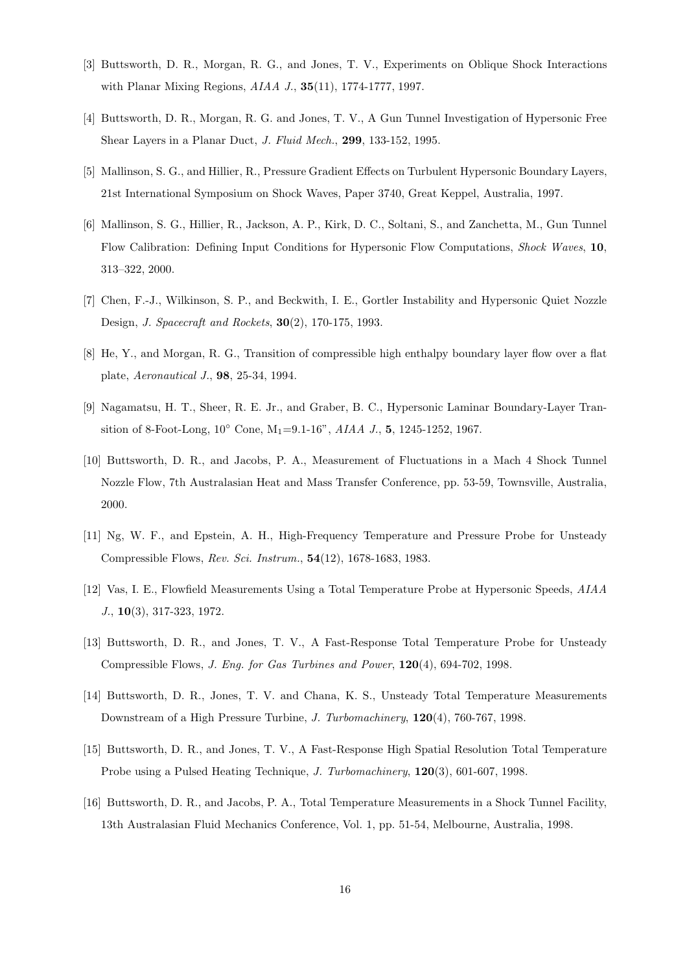- [3] Buttsworth, D. R., Morgan, R. G., and Jones, T. V., Experiments on Oblique Shock Interactions with Planar Mixing Regions, AIAA J., 35(11), 1774-1777, 1997.
- [4] Buttsworth, D. R., Morgan, R. G. and Jones, T. V., A Gun Tunnel Investigation of Hypersonic Free Shear Layers in a Planar Duct, J. Fluid Mech., 299, 133-152, 1995.
- [5] Mallinson, S. G., and Hillier, R., Pressure Gradient Effects on Turbulent Hypersonic Boundary Layers, 21st International Symposium on Shock Waves, Paper 3740, Great Keppel, Australia, 1997.
- [6] Mallinson, S. G., Hillier, R., Jackson, A. P., Kirk, D. C., Soltani, S., and Zanchetta, M., Gun Tunnel Flow Calibration: Defining Input Conditions for Hypersonic Flow Computations, Shock Waves, 10, 313–322, 2000.
- [7] Chen, F.-J., Wilkinson, S. P., and Beckwith, I. E., Gortler Instability and Hypersonic Quiet Nozzle Design, J. Spacecraft and Rockets, 30(2), 170-175, 1993.
- [8] He, Y., and Morgan, R. G., Transition of compressible high enthalpy boundary layer flow over a flat plate, Aeronautical J., 98, 25-34, 1994.
- [9] Nagamatsu, H. T., Sheer, R. E. Jr., and Graber, B. C., Hypersonic Laminar Boundary-Layer Transition of 8-Foot-Long,  $10^{\circ}$  Cone,  $M_1=9.1-16$ ",  $AIAA$  J., 5, 1245-1252, 1967.
- [10] Buttsworth, D. R., and Jacobs, P. A., Measurement of Fluctuations in a Mach 4 Shock Tunnel Nozzle Flow, 7th Australasian Heat and Mass Transfer Conference, pp. 53-59, Townsville, Australia, 2000.
- [11] Ng, W. F., and Epstein, A. H., High-Frequency Temperature and Pressure Probe for Unsteady Compressible Flows, Rev. Sci. Instrum., 54(12), 1678-1683, 1983.
- [12] Vas, I. E., Flowfield Measurements Using a Total Temperature Probe at Hypersonic Speeds, AIAA J., 10(3), 317-323, 1972.
- [13] Buttsworth, D. R., and Jones, T. V., A Fast-Response Total Temperature Probe for Unsteady Compressible Flows, J. Eng. for Gas Turbines and Power, 120(4), 694-702, 1998.
- [14] Buttsworth, D. R., Jones, T. V. and Chana, K. S., Unsteady Total Temperature Measurements Downstream of a High Pressure Turbine, J. Turbomachinery, 120(4), 760-767, 1998.
- [15] Buttsworth, D. R., and Jones, T. V., A Fast-Response High Spatial Resolution Total Temperature Probe using a Pulsed Heating Technique, J. Turbomachinery, 120(3), 601-607, 1998.
- [16] Buttsworth, D. R., and Jacobs, P. A., Total Temperature Measurements in a Shock Tunnel Facility, 13th Australasian Fluid Mechanics Conference, Vol. 1, pp. 51-54, Melbourne, Australia, 1998.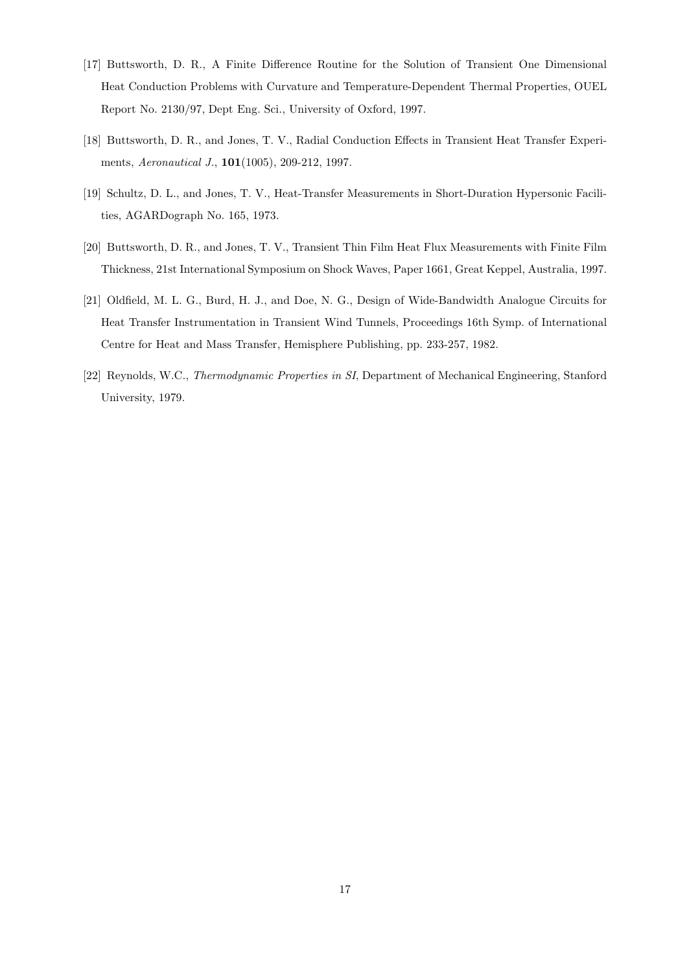- [17] Buttsworth, D. R., A Finite Difference Routine for the Solution of Transient One Dimensional Heat Conduction Problems with Curvature and Temperature-Dependent Thermal Properties, OUEL Report No. 2130/97, Dept Eng. Sci., University of Oxford, 1997.
- [18] Buttsworth, D. R., and Jones, T. V., Radial Conduction Effects in Transient Heat Transfer Experiments, Aeronautical J., 101(1005), 209-212, 1997.
- [19] Schultz, D. L., and Jones, T. V., Heat-Transfer Measurements in Short-Duration Hypersonic Facilities, AGARDograph No. 165, 1973.
- [20] Buttsworth, D. R., and Jones, T. V., Transient Thin Film Heat Flux Measurements with Finite Film Thickness, 21st International Symposium on Shock Waves, Paper 1661, Great Keppel, Australia, 1997.
- [21] Oldfield, M. L. G., Burd, H. J., and Doe, N. G., Design of Wide-Bandwidth Analogue Circuits for Heat Transfer Instrumentation in Transient Wind Tunnels, Proceedings 16th Symp. of International Centre for Heat and Mass Transfer, Hemisphere Publishing, pp. 233-257, 1982.
- [22] Reynolds, W.C., Thermodynamic Properties in SI, Department of Mechanical Engineering, Stanford University, 1979.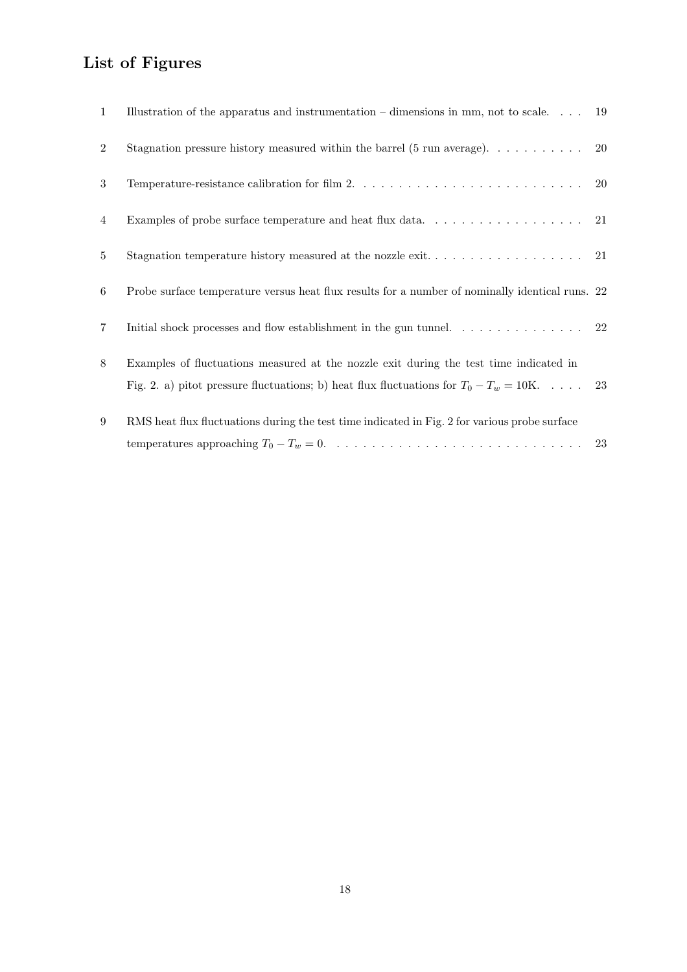# List of Figures

| 1              | Illustration of the apparatus and instrumentation – dimensions in mm, not to scale 19                                                                                                |  |
|----------------|--------------------------------------------------------------------------------------------------------------------------------------------------------------------------------------|--|
| 2              |                                                                                                                                                                                      |  |
| 3              |                                                                                                                                                                                      |  |
| $\overline{4}$ | Examples of probe surface temperature and heat flux data. $\ldots \ldots \ldots \ldots \ldots \ldots$ 21                                                                             |  |
| $5^{\circ}$    |                                                                                                                                                                                      |  |
| 6              | Probe surface temperature versus heat flux results for a number of nominally identical runs. 22                                                                                      |  |
| $\overline{7}$ | Initial shock processes and flow establishment in the gun tunnel. $\dots \dots \dots \dots \dots$                                                                                    |  |
| 8              | Examples of fluctuations measured at the nozzle exit during the test time indicated in<br>Fig. 2. a) pitot pressure fluctuations; b) heat flux fluctuations for $T_0 - T_w = 10K$ 23 |  |
| 9              | RMS heat flux fluctuations during the test time indicated in Fig. 2 for various probe surface                                                                                        |  |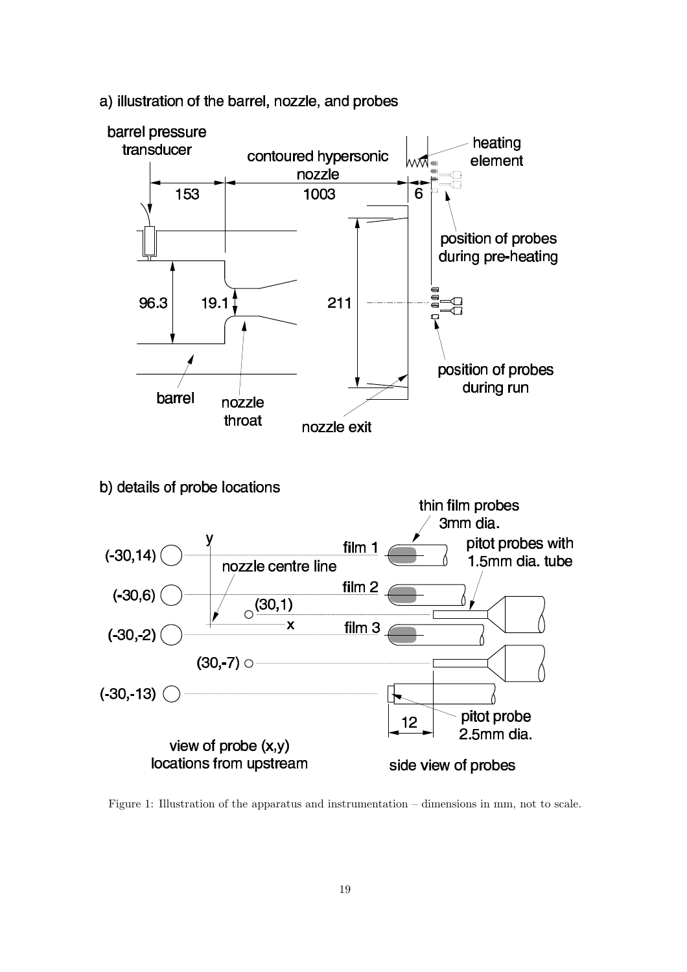

a) illustration of the barrel, nozzle, and probes

Figure 1: Illustration of the apparatus and instrumentation – dimensions in mm, not to scale.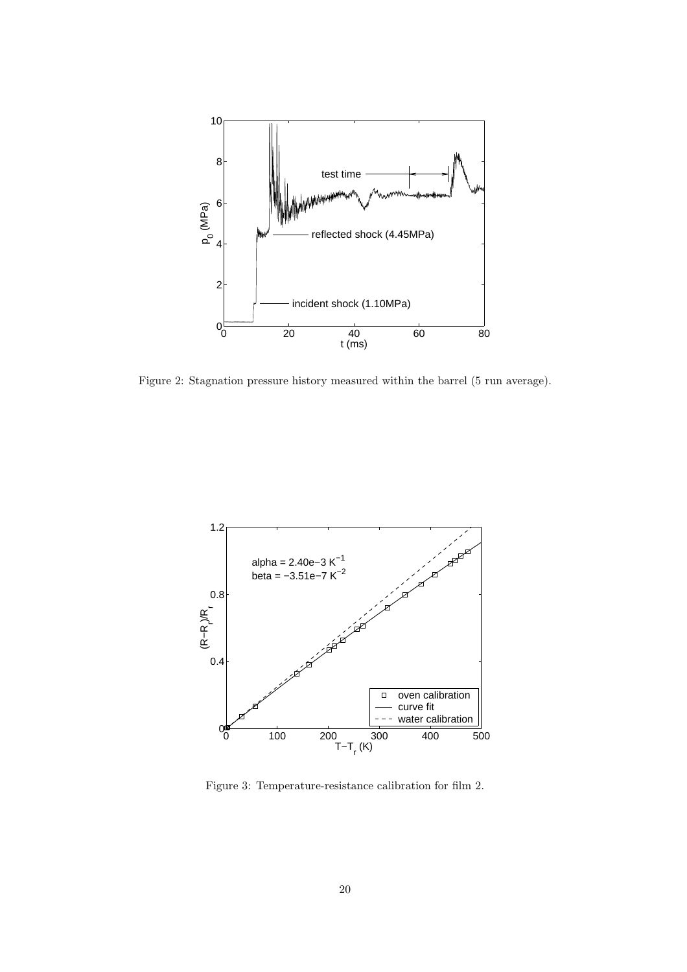

Figure 2: Stagnation pressure history measured within the barrel (5 run average).



Figure 3: Temperature-resistance calibration for film 2.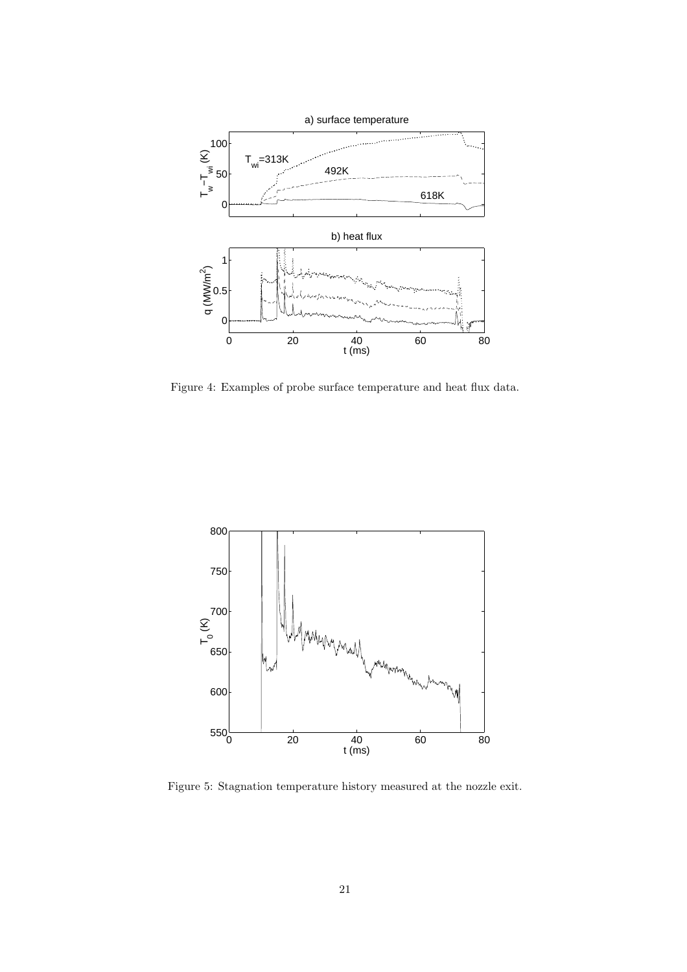

Figure 4: Examples of probe surface temperature and heat flux data.



Figure 5: Stagnation temperature history measured at the nozzle exit.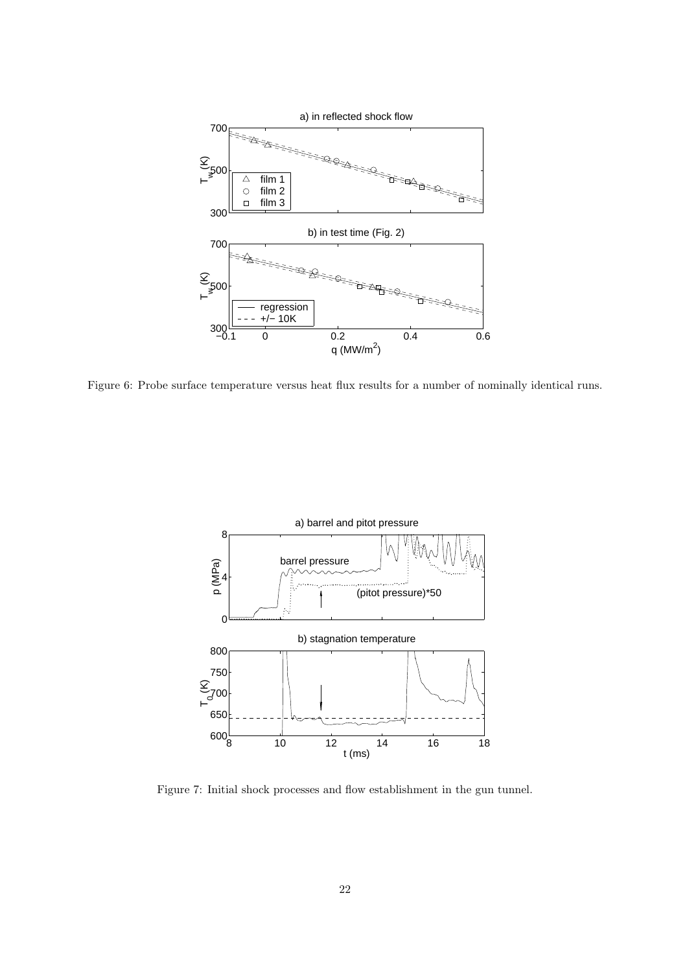

Figure 6: Probe surface temperature versus heat flux results for a number of nominally identical runs.



Figure 7: Initial shock processes and flow establishment in the gun tunnel.